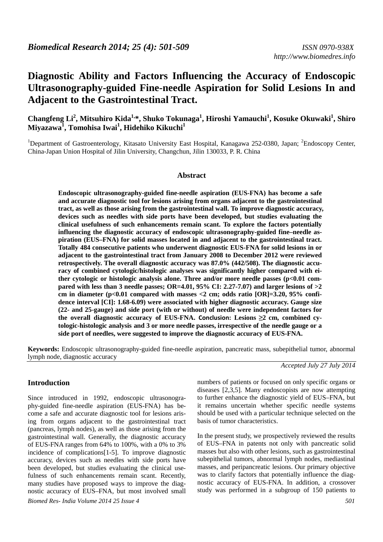# **Diagnostic Ability and Factors Influencing the Accuracy of Endoscopic Ultrasonography-guided Fine-needle Aspiration for Solid Lesions In and Adjacent to the Gastrointestinal Tract.**

**Changfeng Li<sup>2</sup> , Mitsuhiro Kida1,\*, Shuko Tokunaga<sup>1</sup> , Hiroshi Yamauchi<sup>1</sup> , Kosuke Okuwaki<sup>1</sup> , Shiro Miyazawa<sup>1</sup> , Tomohisa Iwai<sup>1</sup> , Hidehiko Kikuchi<sup>1</sup>**

<sup>1</sup>Department of Gastroenterology, Kitasato University East Hospital, Kanagawa 252-0380, Japan; <sup>2</sup>Endoscopy Center, China-Japan Union Hospital of Jilin University, Changchun, Jilin 130033, P. R. China

#### **Abstract**

**Endoscopic ultrasonography-guided fine-needle aspiration (EUS-FNA) has become a safe and accurate diagnostic tool for lesions arising from organs adjacent to the gastrointestinal tract, as well as those arising from the gastrointestinal wall. To improve diagnostic accuracy, devices such as needles with side ports have been developed, but studies evaluating the clinical usefulness of such enhancements remain scant. To explore the factors potentially influencing the diagnostic accuracy of endoscopic ultrasonography-guided fine–needle aspiration (EUS–FNA) for solid masses located in and adjacent to the gastrointestinal tract. Totally 484 consecutive patients who underwent diagnostic EUS-FNA for solid lesions in or adjacent to the gastrointestinal tract from January 2008 to December 2012 were reviewed retrospectively. The overall diagnostic accuracy was 87.0% (442/508). The diagnostic accuracy of combined cytologic/histologic analyses was significantly higher compared with either cytologic or histologic analysis alone. Three and/or more needle passes (p<0.01 compared with less than 3 needle passes; OR=4.01, 95% CI: 2.27-7.07) and larger lesions of >2 cm in diameter (p<0.01 compared with masses <2 cm; odds ratio [OR]=3.20, 95% confidence interval [CI]: 1.68-6.09) were associated with higher diagnostic accuracy. Gauge size (22- and 25-gauge) and side port (with or without) of needle were independent factors for the overall diagnostic accuracy of EUS-FNA. Conclusion: Lesions**  $\geq 2$  **cm, combined cytologic-histologic analysis and 3 or more needle passes, irrespective of the needle gauge or a side port of needles, were suggested to improve the diagnostic accuracy of EUS-FNA.** 

**Keywords:** Endoscopic ultrasonography-guided fine-needle aspiration, pancreatic mass, subepithelial tumor, abnormal lymph node, diagnostic accuracy

*Accepted July 27 July 2014* 

# **Introduction**

*Biomed Res- India Volume 2014 25 Issue 4 501*  Since introduced in 1992, endoscopic ultrasonography-guided fine-needle aspiration (EUS-FNA) has become a safe and accurate diagnostic tool for lesions arising from organs adjacent to the gastrointestinal tract (pancreas, lymph nodes), as well as those arising from the gastrointestinal wall. Generally, the diagnostic accuracy of EUS-FNA ranges from 64% to 100%, with a 0% to 3% incidence of complications[1-5]. To improve diagnostic accuracy, devices such as needles with side ports have been developed, but studies evaluating the clinical usefulness of such enhancements remain scant. Recently, many studies have proposed ways to improve the diagnostic accuracy of EUS–FNA, but most involved small

numbers of patients or focused on only specific organs or diseases [2,3,5]. Many endoscopists are now attempting to further enhance the diagnostic yield of EUS–FNA, but it remains uncertain whether specific needle systems should be used with a particular technique selected on the basis of tumor characteristics.

In the present study, we prospectively reviewed the results of EUS–FNA in patents not only with pancreatic solid masses but also with other lesions, such as gastrointestinal subepithelial tumors, abnormal lymph nodes, mediastinal masses, and peripancreatic lesions. Our primary objective was to clarify factors that potentially influence the diagnostic accuracy of EUS-FNA. In addition, a crossover study was performed in a subgroup of 150 patients to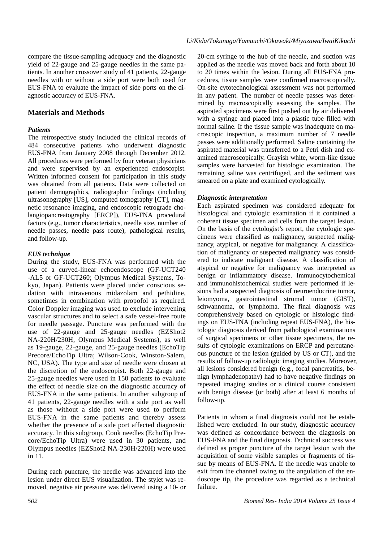compare the tissue-sampling adequacy and the diagnostic yield of 22-gauge and 25-gauge needles in the same patients. In another crossover study of 41 patients, 22-gauge needles with or without a side port were both used for EUS-FNA to evaluate the impact of side ports on the diagnostic accuracy of EUS-FNA.

# **Materials and Methods**

### *Patients*

The retrospective study included the clinical records of 484 consecutive patients who underwent diagnostic EUS-FNA from January 2008 through December 2012. All procedures were performed by four veteran physicians and were supervised by an experienced endoscopist. Written informed consent for participation in this study was obtained from all patients. Data were collected on patient demographics, radiographic findings (including ultrasonography [US], computed tomography [CT], magnetic resonance imaging, and endoscopic retrograde cholangiopancreatography [ERCP]), EUS-FNA procedural factors (e.g., tumor characteristics, needle size, number of needle passes, needle pass route), pathological results, and follow-up.

# *EUS technique*

During the study, EUS-FNA was performed with the use of a curved-linear echoendoscope (GF-UCT240 -AL5 or GF-UCT260; Olympus Medical Systems, Tokyo, Japan). Patients were placed under conscious sedation with intravenous midazolam and pethidine, sometimes in combination with propofol as required. Color Doppler imaging was used to exclude intervening vascular structures and to select a safe vessel-free route for needle passage. Puncture was performed with the use of 22-gauge and 25-gauge needles (EZShot2 NA-220H/230H, Olympus Medical Systems), as well as 19-gauge, 22-gauge, and 25-gauge needles (EchoTip Precore/EchoTip Ultra; Wilson-Cook, Winston-Salem, NC, USA). The type and size of needle were chosen at the discretion of the endoscopist. Both 22-gauge and 25-gauge needles were used in 150 patients to evaluate the effect of needle size on the diagnostic accuracy of EUS-FNA in the same patients. In another subgroup of 41 patients, 22-gauge needles with a side port as well as those without a side port were used to perform EUS-FNA in the same patients and thereby assess whether the presence of a side port affected diagnostic accuracy. In this subgroup, Cook needles (EchoTip Precore/EchoTip Ultra) were used in 30 patients, and Olympus needles (EZShot2 NA-230H/220H) were used in 11.

During each puncture, the needle was advanced into the lesion under direct EUS visualization. The stylet was removed, negative air pressure was delivered using a 10- or 20-cm syringe to the hub of the needle, and suction was applied as the needle was moved back and forth about 10 to 20 times within the lesion. During all EUS-FNA procedures, tissue samples were confirmed macroscopically. On-site cytotechnological assessment was not performed in any patient. The number of needle passes was determined by macroscopically assessing the samples. The aspirated specimens were first pushed out by air delivered with a syringe and placed into a plastic tube filled with normal saline. If the tissue sample was inadequate on macroscopic inspection, a maximum number of 7 needle passes were additionally performed. Saline containing the aspirated material was transferred to a Petri dish and examined macroscopically. Grayish white, worm-like tissue samples were harvested for histologic examination. The remaining saline was centrifuged, and the sediment was smeared on a plate and examined cytologically.

# *Diagnostic interpretation*

Each aspirated specimen was considered adequate for histological and cytologic examination if it contained a coherent tissue specimen and cells from the target lesion. On the basis of the cytologist's report, the cytologic specimens were classified as malignancy, suspected malignancy, atypical, or negative for malignancy. A classification of malignancy or suspected malignancy was considered to indicate malignant disease. A classification of atypical or negative for malignancy was interpreted as benign or inflammatory disease. Immunocytochemical and immunohistochemical studies were performed if lesions had a suspected diagnosis of neuroendocrine tumor, leiomyoma, gastrointestinal stromal tumor (GIST), schwannoma, or lymphoma. The final diagnosis was comprehensively based on cytologic or histologic findings on EUS-FNA (including repeat EUS-FNA), the histologic diagnosis derived from pathological examinations of surgical specimens or other tissue specimens, the results of cytologic examinations on ERCP and percutaneous puncture of the lesion (guided by US or CT), and the results of follow-up radiologic imaging studies. Moreover, all lesions considered benign (e.g., focal pancreatitis, benign lymphadenopathy) had to have negative findings on repeated imaging studies or a clinical course consistent with benign disease (or both) after at least 6 months of follow-up.

Patients in whom a final diagnosis could not be established were excluded. In our study, diagnostic accuracy was defined as concordance between the diagnosis on EUS-FNA and the final diagnosis. Technical success was defined as proper puncture of the target lesion with the acquisition of some visible samples or fragments of tissue by means of EUS-FNA. If the needle was unable to exit from the channel owing to the angulation of the endoscope tip, the procedure was regarded as a technical failure.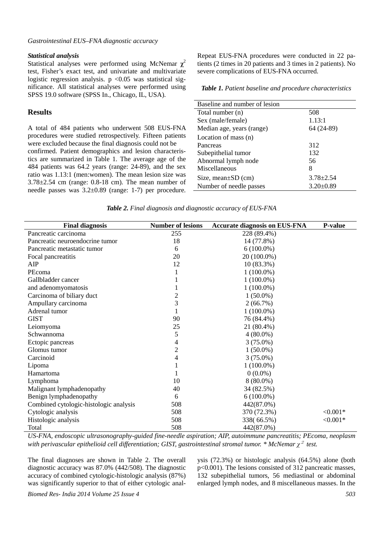#### *Gastrointestinal EUS–FNA diagnostic accuracy*

#### *Statistical analysis*

Statistical analyses were performed using McNemar **χ** 2 test, Fisher's exact test, and univariate and multivariate logistic regression analysis.  $p < 0.05$  was statistical significance. All statistical analyses were performed using SPSS 19.0 software (SPSS In., Chicago, IL, USA).

#### **Results**

A total of 484 patients who underwent 508 EUS-FNA procedures were studied retrospectively. Fifteen patients were excluded because the final diagnosis could not be confirmed. Patient demographics and lesion characteristics are summarized in Table 1. The average age of the 484 patients was 64.2 years (range: 24-89), and the sex ratio was 1.13:1 (men:women). The mean lesion size was  $3.78\pm2.54$  cm (range: 0.8-18 cm). The mean number of needle passes was 3.2±0.89 (range: 1-7) per procedure. Repeat EUS-FNA procedures were conducted in 22 patients (2 times in 20 patients and 3 times in 2 patients). No severe complications of EUS-FNA occurred.

*Table 1. Patient baseline and procedure characteristics*

| Baseline and number of lesion |                 |
|-------------------------------|-----------------|
| Total number (n)              | 508             |
| Sex (male/female)             | 1.13:1          |
| Median age, years (range)     | 64 (24-89)      |
| Location of mass (n)          |                 |
| Pancreas                      | 312             |
| Subepithelial tumor           | 132             |
| Abnormal lymph node           | 56              |
| Miscellaneous                 | 8               |
| Size, mean $\pm SD$ (cm)      | $3.78 + 2.54$   |
| Number of needle passes       | $3.20 \pm 0.89$ |
|                               |                 |

*Table 2. Final diagnosis and diagnostic accuracy of EUS-FNA* 

| <b>Final diagnosis</b>                 | <b>Number of lesions</b> | <b>Accurate diagnosis on EUS-FNA</b> | <b>P-value</b> |
|----------------------------------------|--------------------------|--------------------------------------|----------------|
| Pancreatic carcinoma                   | 255                      | 228 (89.4%)                          |                |
| Pancreatic neuroendocrine tumor        | 18                       | 14 (77.8%)                           |                |
| Pancreatic metastatic tumor            | 6                        | $6(100.0\%)$                         |                |
| Focal pancreatitis                     | 20                       | 20 (100.0%)                          |                |
| AIP                                    | 12                       | $10(83.3\%)$                         |                |
| PEcoma                                 | 1                        | $1(100.0\%)$                         |                |
| Gallbladder cancer                     |                          | $1(100.0\%)$                         |                |
| and adenomyomatosis                    |                          | $1(100.0\%)$                         |                |
| Carcinoma of biliary duct              | $\sqrt{2}$               | $1(50.0\%)$                          |                |
| Ampullary carcinoma                    | 3                        | 2(66.7%)                             |                |
| Adrenal tumor                          |                          | $1(100.0\%)$                         |                |
| <b>GIST</b>                            | 90                       | 76 (84.4%)                           |                |
| Leiomyoma                              | 25                       | 21 (80.4%)                           |                |
| Schwannoma                             | 5                        | $4(80.0\%)$                          |                |
| Ectopic pancreas                       | 4                        | $3(75.0\%)$                          |                |
| Glomus tumor                           | $\overline{c}$           | $1(50.0\%)$                          |                |
| Carcinoid                              | 4                        | $3(75.0\%)$                          |                |
| Lipoma                                 |                          | $1(100.0\%)$                         |                |
| Hamartoma                              |                          | $0(0.0\%)$                           |                |
| Lymphoma                               | 10                       | $8(80.0\%)$                          |                |
| Malignant lymphadenopathy              | 40                       | 34 (82.5%)                           |                |
| Benign lymphadenopathy                 | 6                        | $6(100.0\%)$                         |                |
| Combined cytologic-histologic analysis | 508                      | 442(87.0%)                           |                |
| Cytologic analysis                     | 508                      | 370 (72.3%)                          | $< 0.001*$     |
| Histologic analysis                    | 508                      | 338(66.5%)                           | $< 0.001*$     |
| Total                                  | 508                      | 442(87.0%)                           |                |

*US-FNA, endoscopic ultrasonography-guided fine-needle aspiration; AIP, autoimmune pancreatitis; PEcoma, neoplasm with perivascular epithelioid cell differentiation; GIST, gastrointestinal stromal tumor. \* McNemar χ* 2 *test.* 

The final diagnoses are shown in Table 2. The overall diagnostic accuracy was 87.0% (442/508). The diagnostic accuracy of combined cytologic-histologic analysis (87%) was significantly superior to that of either cytologic analysis (72.3%) or histologic analysis (64.5%) alone (both p<0.001). The lesions consisted of 312 pancreatic masses, 132 subepithelial tumors, 56 mediastinal or abdominal enlarged lymph nodes, and 8 miscellaneous masses. In the

*Biomed Res- India 2014 Volume 25 Issue 4 503*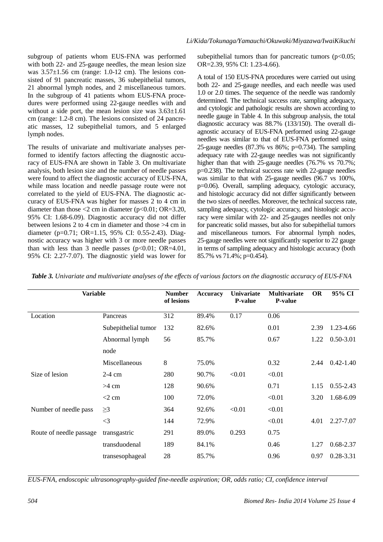subgroup of patients whom EUS-FNA was performed with both 22- and 25-gauge needles, the mean lesion size was  $3.57\pm1.56$  cm (range: 1.0-12 cm). The lesions consisted of 91 pancreatic masses, 36 subepithelial tumors, 21 abnormal lymph nodes, and 2 miscellaneous tumors. In the subgroup of 41 patients whom EUS-FNA procedures were performed using 22-gauge needles with and without a side port, the mean lesion size was  $3.63\pm1.61$ cm (range: 1.2-8 cm). The lesions consisted of 24 pancreatic masses, 12 subepithelial tumors, and 5 enlarged lymph nodes.

The results of univariate and multivariate analyses performed to identify factors affecting the diagnostic accuracy of EUS-FNA are shown in Table 3. On multivariate analysis, both lesion size and the number of needle passes were found to affect the diagnostic accuracy of EUS-FNA, while mass location and needle passage route were not correlated to the yield of EUS-FNA. The diagnostic accuracy of EUS-FNA was higher for masses 2 to 4 cm in diameter than those  $\leq$  2 cm in diameter (p $\leq$ 0.01; OR=3.20, 95% CI: 1.68-6.09). Diagnostic accuracy did not differ between lesions 2 to 4 cm in diameter and those >4 cm in diameter (p=0.71; OR=1.15, 95% CI: 0.55-2.43). Diagnostic accuracy was higher with 3 or more needle passes than with less than 3 needle passes  $(p<0.01; OR=4.01)$ , 95% CI: 2.27-7.07). The diagnostic yield was lower for

subepithelial tumors than for pancreatic tumors ( $p<0.05$ ; OR=2.39, 95% CI: 1.23-4.66).

A total of 150 EUS-FNA procedures were carried out using both 22- and 25-gauge needles, and each needle was used 1.0 or 2.0 times. The sequence of the needle was randomly determined. The technical success rate, sampling adequacy, and cytologic and pathologic results are shown according to needle gauge in Table 4. In this subgroup analysis, the total diagnostic accuracy was 88.7% (133/150). The overall diagnostic accuracy of EUS-FNA performed using 22-gauge needles was similar to that of EUS-FNA performed using 25-gauge needles (87.3% vs 86%; p=0.734). The sampling adequacy rate with 22-gauge needles was not significantly higher than that with 25-gauge needles (76.7% vs 70.7%; p=0.238). The technical success rate with 22-gauge needles was similar to that with 25-gauge needles (96.7 vs 100%, p=0.06). Overall, sampling adequacy, cytologic accuracy, and histologic accuracy did not differ significantly between the two sizes of needles. Moreover, the technical success rate, sampling adequacy, cytologic accuracy, and histologic accuracy were similar with 22- and 25-gauges needles not only for pancreatic solid masses, but also for subepithelial tumors and miscellaneous tumors. For abnormal lymph nodes, 25-gauge needles were not significantly superior to 22 gauge in terms of sampling adequacy and histologic accuracy (both 85.7% vs 71.4%; p=0.454).

| <b>Variable</b>         |                     | <b>Number</b><br>of lesions | <b>Accuracy</b> | <b>Univariate</b><br><b>P-value</b> | <b>Multivariate</b><br><b>P-value</b> | <b>OR</b> | 95% CI        |
|-------------------------|---------------------|-----------------------------|-----------------|-------------------------------------|---------------------------------------|-----------|---------------|
| Location                | Pancreas            | 312                         | 89.4%           | 0.17                                | 0.06                                  |           |               |
|                         | Subepithelial tumor | 132                         | 82.6%           |                                     | 0.01                                  | 2.39      | 1.23-4.66     |
|                         | Abnormal lymph      | 56                          | 85.7%           |                                     | 0.67                                  | 1.22      | $0.50 - 3.01$ |
|                         | node                |                             |                 |                                     |                                       |           |               |
|                         | Miscellaneous       | 8                           | 75.0%           |                                     | 0.32                                  | 2.44      | $0.42 - 1.40$ |
| Size of lesion          | $2-4$ cm            | 280                         | 90.7%           | < 0.01                              | < 0.01                                |           |               |
|                         | $>4$ cm             | 128                         | 90.6%           |                                     | 0.71                                  | 1.15      | $0.55 - 2.43$ |
|                         | $<$ 2 cm            | 100                         | 72.0%           |                                     | < 0.01                                | 3.20      | 1.68-6.09     |
| Number of needle pass   | $\geq$ 3            | 364                         | 92.6%           | < 0.01                              | < 0.01                                |           |               |
|                         | $\leq$ 3            | 144                         | 72.9%           |                                     | < 0.01                                | 4.01      | 2.27-7.07     |
| Route of needle passage | transgastric        | 291                         | 89.0%           | 0.293                               | 0.75                                  |           |               |
|                         | transduodenal       | 189                         | 84.1%           |                                     | 0.46                                  | 1.27      | $0.68 - 2.37$ |
|                         | transesophageal     | 28                          | 85.7%           |                                     | 0.96                                  | 0.97      | $0.28 - 3.31$ |

*Table 3. Univariate and multivariate analyses of the effects of various factors on the diagnostic accuracy of EUS-FNA* 

*EUS-FNA, endoscopic ultrasonography-guided fine-needle aspiration; OR, odds ratio; CI, confidence interval*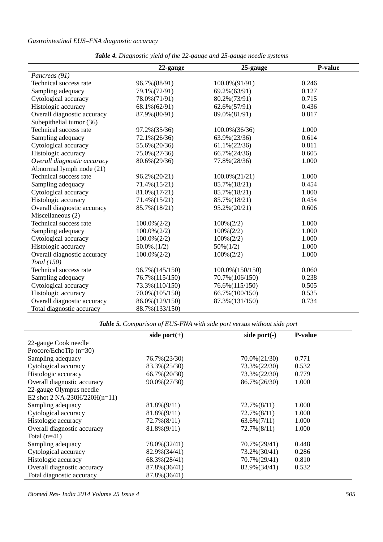# *Gastrointestinal EUS–FNA diagnostic accuracy*

|                             | 22-gauge           | 25-gauge          | P-value |
|-----------------------------|--------------------|-------------------|---------|
| Pancreas (91)               |                    |                   |         |
| Technical success rate      | 96.7% (88/91)      | 100.0% (91/91)    | 0.246   |
| Sampling adequacy           | 79.1%(72/91)       | 69.2%(63/91)      | 0.127   |
| Cytological accuracy        | 78.0%(71/91)       | 80.2% (73/91)     | 0.715   |
| Histologic accuracy         | 68.1% (62/91)      | 62.6%(57/91)      | 0.436   |
| Overall diagnostic accuracy | 87.9%(80/91)       | 89.0%(81/91)      | 0.817   |
| Subepithelial tumor (36)    |                    |                   |         |
| Technical success rate      | 97.2%(35/36)       | $100.0\% (36/36)$ | 1.000   |
| Sampling adequacy           | 72.1% (26/36)      | 63.9%(23/36)      | 0.614   |
| Cytological accuracy        | 55.6%(20/36)       | $61.1\%(22/36)$   | 0.811   |
| Histologic accuracy         | 75.0%(27/36)       | 66.7% (24/36)     | 0.605   |
| Overall diagnostic accuracy | 80.6% (29/36)      | 77.8%(28/36)      | 1.000   |
| Abnormal lymph node (21)    |                    |                   |         |
| Technical success rate      | 96.2%(20/21)       | $100.0\% (21/21)$ | 1.000   |
| Sampling adequacy           | 71.4% (15/21)      | 85.7% (18/21)     | 0.454   |
| Cytological accuracy        | 81.0%(17/21)       | 85.7% (18/21)     | 1.000   |
| Histologic accuracy         | 71.4% (15/21)      | 85.7% (18/21)     | 0.454   |
| Overall diagnostic accuracy | 85.7% (18/21)      | 95.2%(20/21)      | 0.606   |
| Miscellaneous (2)           |                    |                   |         |
| Technical success rate      | $100.0\%(2/2)$     | $100\%(2/2)$      | 1.000   |
| Sampling adequacy           | $100.0\%(2/2)$     | $100\%(2/2)$      | 1.000   |
| Cytological accuracy        | $100.0\% (2/2)$    | $100\%(2/2)$      | 1.000   |
| Histologic accuracy         | $50.0\%$ . $(1/2)$ | $50\%(1/2)$       | 1.000   |
| Overall diagnostic accuracy | $100.0\%(2/2)$     | $100\%(2/2)$      | 1.000   |
| Total (150)                 |                    |                   |         |
| Technical success rate      | 96.7% (145/150)    | 100.0% (150/150)  | 0.060   |
| Sampling adequacy           | 76.7% (115/150)    | 70.7% (106/150)   | 0.238   |
| Cytological accuracy        | 73.3% (110/150)    | 76.6% (115/150)   | 0.505   |
| Histologic accuracy         | 70.0% (105/150)    | 66.7% (100/150)   | 0.535   |
| Overall diagnostic accuracy | 86.0% (129/150)    | 87.3% (131/150)   | 0.734   |
| Total diagnostic accuracy   | 88.7% (133/150)    |                   |         |

*Table 4. Diagnostic yield of the 22-gauge and 25-gauge needle systems* 

*Table 5. Comparison of EUS-FNA with side port versus without side port* 

|                                | side port $(+)$ | side port $(-)$ | <b>P-value</b> |
|--------------------------------|-----------------|-----------------|----------------|
| 22-gauge Cook needle           |                 |                 |                |
| Procore/EchoTip $(n=30)$       |                 |                 |                |
| Sampling adequacy              | 76.7% (23/30)   | $70.0\%(21/30)$ | 0.771          |
| Cytological accuracy           | 83.3% (25/30)   | 73.3% (22/30)   | 0.532          |
| Histologic accuracy            | 66.7% (20/30)   | 73.3% (22/30)   | 0.779          |
| Overall diagnostic accuracy    | 90.0% (27/30)   | 86.7% (26/30)   | 1.000          |
| 22-gauge Olympus needle        |                 |                 |                |
| E2 shot $2$ NA-230H/220H(n=11) |                 |                 |                |
| Sampling adequacy              | $81.8\%(9/11)$  | $72.7\%(8/11)$  | 1.000          |
| Cytological accuracy           | $81.8\%(9/11)$  | $72.7\%(8/11)$  | 1.000          |
| Histologic accuracy            | $72.7\%(8/11)$  | $63.6\%(7/11)$  | 1.000          |
| Overall diagnostic accuracy    | $81.8\%(9/11)$  | $72.7\%(8/11)$  | 1.000          |
| Total $(n=41)$                 |                 |                 |                |
| Sampling adequacy              | 78.0%(32/41)    | 70.7%(29/41)    | 0.448          |
| Cytological accuracy           | 82.9%(34/41)    | 73.2%(30/41)    | 0.286          |
| Histologic accuracy            | 68.3% (28/41)   | 70.7%(29/41)    | 0.810          |
| Overall diagnostic accuracy    | 87.8%(36/41)    | 82.9%(34/41)    | 0.532          |
| Total diagnostic accuracy      | 87.8%(36/41)    |                 |                |

*Biomed Res- India 2014 Volume 25 Issue 4 505*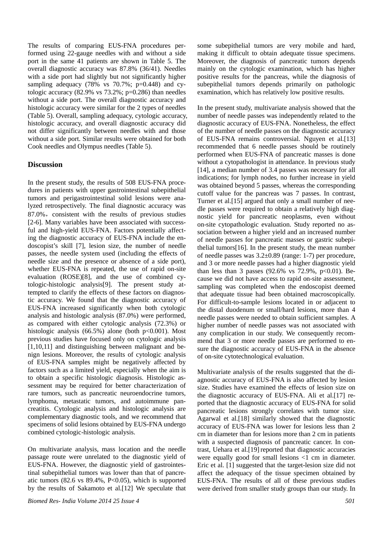The results of comparing EUS-FNA procedures performed using 22-gauge needles with and without a side port in the same 41 patients are shown in Table 5. The overall diagnostic accuracy was 87.8% (36/41). Needles with a side port had slightly but not significantly higher sampling adequacy  $(78\% \text{ vs } 70.7\%; \text{ p=0.448})$  and cytologic accuracy  $(82.9\% \text{ vs } 73.2\%; \text{p=0.286})$  than needles without a side port. The overall diagnostic accuracy and histologic accuracy were similar for the 2 types of needles (Table 5). Overall, sampling adequacy, cytologic accuracy, histologic accuracy, and overall diagnostic accuracy did not differ significantly between needles with and those without a side port. Similar results were obtained for both Cook needles and Olympus needles (Table 5).

# **Discussion**

In the present study, the results of 508 EUS-FNA procedures in patients with upper gastrointestinal subepithelial tumors and perigastrointestinal solid lesions were analyzed retrospectively. The final diagnostic accuracy was 87.0%, consistent with the results of previous studies [2-6]. Many variables have been associated with successful and high-yield EUS-FNA. Factors potentially affecting the diagnostic accuracy of EUS-FNA include the endoscopist's skill [7], lesion size, the number of needle passes, the needle system used (including the effects of needle size and the presence or absence of a side port), whether EUS-FNA is repeated, the use of rapid on-site evaluation (ROSE)[8], and the use of combined cytologic-histologic analysis[9]. The present study attempted to clarify the effects of these factors on diagnostic accuracy. We found that the diagnostic accuracy of EUS-FNA increased significantly when both cytologic analysis and histologic analysis (87.0%) were performed, as compared with either cytologic analysis (72.3%) or histologic analysis  $(66.5\%)$  alone (both p<0.001). Most previous studies have focused only on cytologic analysis [1,10,11] and distinguishing between malignant and benign lesions. Moreover, the results of cytologic analysis of EUS-FNA samples might be negatively affected by factors such as a limited yield, especially when the aim is to obtain a specific histologic diagnosis. Histologic assessment may be required for better characterization of rare tumors, such as pancreatic neuroendocrine tumors, lymphoma, metastatic tumors, and autoimmune pancreatitis. Cytologic analysis and histologic analysis are complementary diagnostic tools, and we recommend that specimens of solid lesions obtained by EUS-FNA undergo combined cytologic-histologic analysis.

On multivariate analysis, mass location and the needle passage route were unrelated to the diagnostic yield of EUS-FNA. However, the diagnostic yield of gastrointestinal subepithelial tumors was lower than that of pancreatic tumors  $(82.6 \text{ vs } 89.4\%, P<0.05)$ , which is supported by the results of Sakamoto et al.[12] We speculate that some subepithelial tumors are very mobile and hard, making it difficult to obtain adequate tissue specimens. Moreover, the diagnosis of pancreatic tumors depends mainly on the cytologic examination, which has higher positive results for the pancreas, while the diagnosis of subepithelial tumors depends primarily on pathologic examination, which has relatively low positive results.

In the present study, multivariate analysis showed that the number of needle passes was independently related to the diagnostic accuracy of EUS-FNA. Nonetheless, the effect of the number of needle passes on the diagnostic accuracy of EUS-FNA remains controversial. Nguyen et al.[13] recommended that 6 needle passes should be routinely performed when EUS-FNA of pancreatic masses is done without a cytopathologist in attendance. In previous study [14], a median number of 3.4 passes was necessary for all indications; for lymph nodes, no further increase in yield was obtained beyond 5 passes, whereas the corresponding cutoff value for the pancreas was 7 passes. In contrast, Turner et al.[15] argued that only a small number of needle passes were required to obtain a relatively high diagnostic yield for pancreatic neoplasms, even without on-site cytopathologic evaluation. Study reported no association between a higher yield and an increased number of needle passes for pancreatic masses or gastric subepithelial tumors[16]. In the present study, the mean number of needle passes was 3.2±0.89 (range: 1-7) per procedure, and 3 or more needle passes had a higher diagnostic yield than less than 3 passes (92.6% vs 72.9%, p<0.01). Because we did not have access to rapid on-site assessment, sampling was completed when the endoscopist deemed that adequate tissue had been obtained macroscopically. For difficult-to-sample lesions located in or adjacent to the distal duodenum or small/hard lesions, more than 4 needle passes were needed to obtain sufficient samples. A higher number of needle passes was not associated with any complication in our study. We consequently recommend that 3 or more needle passes are performed to ensure the diagnostic accuracy of EUS-FNA in the absence of on-site cytotechnological evaluation.

Multivariate analysis of the results suggested that the diagnostic accuracy of EUS-FNA is also affected by lesion size. Studies have examined the effects of lesion size on the diagnostic accuracy of EUS-FNA. Ali et al.[17] reported that the diagnostic accuracy of EUS-FNA for solid pancreatic lesions strongly correlates with tumor size. Agarwal et al.[18] similarly showed that the diagnostic accuracy of EUS-FNA was lower for lesions less than 2 cm in diameter than for lesions more than 2 cm in patients with a suspected diagnosis of pancreatic cancer. In contrast, Uehara et al.[19] reported that diagnostic accuracies were equally good for small lesions <1 cm in diameter. Eric et al. [1] suggested that the target-lesion size did not affect the adequacy of the tissue specimen obtained by EUS-FNA. The results of all of these previous studies were derived from smaller study groups than our study. In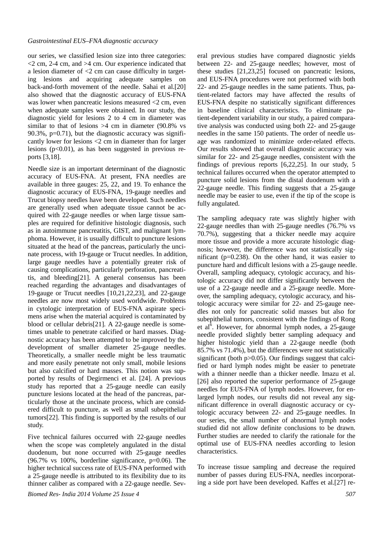our series, we classified lesion size into three categories:  $\leq$  2 cm, 2-4 cm, and  $>$ 4 cm. Our experience indicated that a lesion diameter of <2 cm can cause difficulty in targeting lesions and acquiring adequate samples on back-and-forth movement of the needle. Sahai et al.[20] also showed that the diagnostic accuracy of EUS-FNA was lower when pancreatic lesions measured <2 cm, even when adequate samples were obtained. In our study, the diagnostic yield for lesions 2 to 4 cm in diameter was similar to that of lesions  $>4$  cm in diameter (90.8% vs  $90.3\%$ ,  $p=0.71$ ), but the diagnostic accuracy was significantly lower for lesions <2 cm in diameter than for larger lesions  $(p<0.01)$ , as has been suggested in previous reports [3,18].

Needle size is an important determinant of the diagnostic accuracy of EUS-FNA. At present, FNA needles are available in three gauges: 25, 22, and 19. To enhance the diagnostic accuracy of EUS-FNA, 19-gauge needles and Trucut biopsy needles have been developed. Such needles are generally used when adequate tissue cannot be acquired with 22-gauge needles or when large tissue samples are required for definitive histologic diagnosis, such as in autoimmune pancreatitis, GIST, and malignant lymphoma. However, it is usually difficult to puncture lesions situated at the head of the pancreas, particularly the uncinate process, with 19-gauge or Trucut needles. In addition, large gauge needles have a potentially greater risk of causing complications, particularly perforation, pancreatitis, and bleeding[21]. A general consensus has been reached regarding the advantages and disadvantages of 19-gauge or Trucut needles [10,21,22,23], and 22-gauge needles are now most widely used worldwide. Problems in cytologic interpretation of EUS-FNA aspirate specimens arise when the material acquired is contaminated by blood or cellular debris[21]. A 22-gauge needle is sometimes unable to penetrate calcified or hard masses. Diagnostic accuracy has been attempted to be improved by the development of smaller diameter 25-gauge needles. Theoretically, a smaller needle might be less traumatic and more easily penetrate not only small, mobile lesions but also calcified or hard masses. This notion was supported by results of Degirmenci et al. [24]. A previous study has reported that a 25-gauge needle can easily puncture lesions located at the head of the pancreas, particularly those at the uncinate process, which are considered difficult to puncture, as well as small subepithelial tumors[22]. This finding is supported by the results of our study.

Five technical failures occurred with 22-gauge needles when the scope was completely angulated in the distal duodenum, but none occurred with 25-gauge needles  $(96.7\%$  vs 100%, borderline significance, p=0.06). The higher technical success rate of EUS-FNA performed with a 25-gauge needle is attributed to its flexibility due to its thinner caliber as compared with a 22-gauge needle. Sev-

*Biomed Res- India 2014 Volume 25 Issue 4 507*

eral previous studies have compared diagnostic yields between 22- and 25-gauge needles; however, most of these studies [21,23,25] focused on pancreatic lesions, and EUS-FNA procedures were not performed with both 22- and 25-gauge needles in the same patients. Thus, patient-related factors may have affected the results of EUS-FNA despite no statistically significant differences in baseline clinical characteristics. To eliminate patient-dependent variability in our study, a paired comparative analysis was conducted using both 22- and 25-gauge needles in the same 150 patients. The order of needle usage was randomized to minimize order-related effects. Our results showed that overall diagnostic accuracy was similar for 22- and 25-gauge needles, consistent with the findings of previous reports [6,22,25]. In our study, 5 technical failures occurred when the operator attempted to puncture solid lesions from the distal duodenum with a 22-gauge needle. This finding suggests that a 25-gauge needle may be easier to use, even if the tip of the scope is fully angulated.

The sampling adequacy rate was slightly higher with 22-gauge needles than with 25-gauge needles (76.7% vs 70.7%), suggesting that a thicker needle may acquire more tissue and provide a more accurate histologic diagnosis; however, the difference was not statistically significant ( $p=0.238$ ). On the other hand, it was easier to puncture hard and difficult lesions with a 25-gauge needle. Overall, sampling adequacy, cytologic accuracy, and histologic accuracy did not differ significantly between the use of a 22-gauge needle and a 25-gauge needle. Moreover, the sampling adequacy, cytologic accuracy, and histologic accuracy were similar for 22- and 25-gauge needles not only for pancreatic solid masses but also for subepithelial tumors, consistent with the findings of Rong et al<sup>6</sup>. However, for abnormal lymph nodes, a 25-gauge needle provided slightly better sampling adequacy and higher histologic yield than a 22-gauge needle (both 85.7% vs 71.4%), but the differences were not statistically significant (both p>0.05). Our findings suggest that calcified or hard lymph nodes might be easier to penetrate with a thinner needle than a thicker needle. Imazu et al. [26] also reported the superior performance of 25-gauge needles for EUS-FNA of lymph nodes. However, for enlarged lymph nodes, our results did not reveal any significant difference in overall diagnostic accuracy or cytologic accuracy between 22- and 25-gauge needles. In our series, the small number of abnormal lymph nodes studied did not allow definite conclusions to be drawn. Further studies are needed to clarify the rationale for the optimal use of EUS-FNA needles according to lesion characteristics.

To increase tissue sampling and decrease the required number of passes during EUS-FNA, needles incorporating a side port have been developed. Kaffes et al.[27] re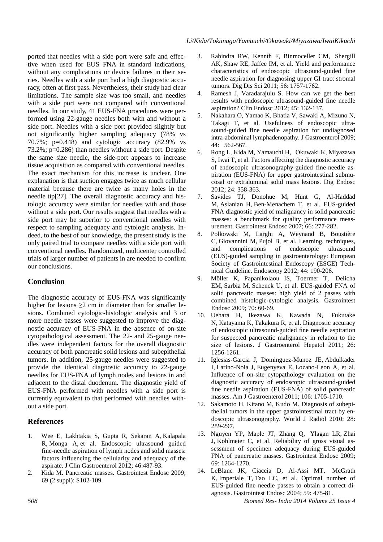ported that needles with a side port were safe and effective when used for EUS FNA in standard indications, without any complications or device failures in their series. Needles with a side port had a high diagnostic accuracy, often at first pass. Nevertheless, their study had clear limitations. The sample size was too small, and needles with a side port were not compared with conventional needles. In our study, 41 EUS-FNA procedures were performed using 22-gauge needles both with and without a side port. Needles with a side port provided slightly but not significantly higher sampling adequacy (78% vs 70.7%; p=0.448) and cytologic accuracy (82.9% vs 73.2%; p=0.286) than needles without a side port. Despite the same size needle, the side-port appears to increase tissue acquisition as compared with conventional needles. The exact mechanism for this increase is unclear. One explanation is that suction engages twice as much cellular material because there are twice as many holes in the needle tip[27]. The overall diagnostic accuracy and histologic accuracy were similar for needles with and those without a side port. Our results suggest that needles with a side port may be superior to conventional needles with respect to sampling adequacy and cytologic analysis. Indeed, to the best of our knowledge, the present study is the only paired trial to compare needles with a side port with

our conclusions.

# **Conclusion**

The diagnostic accuracy of EUS-FNA was significantly higher for lesions  $\geq 2$  cm in diameter than for smaller lesions. Combined cytologic-histologic analysis and 3 or more needle passes were suggested to improve the diagnostic accuracy of EUS-FNA in the absence of on-site cytopathological assessment. The 22- and 25-gauge needles were independent factors for the overall diagnostic accuracy of both pancreatic solid lesions and subepithelial tumors. In addition, 25-gauge needles were suggested to provide the identical diagnostic accuracy to 22-gauge needles for EUS-FNA of lymph nodes and lesions in and adjacent to the distal duodenum. The diagnostic yield of EUS-FNA performed with needles with a side port is currently equivalent to that performed with needles without a side port.

conventional needles. Randomized, multicenter controlled trials of larger number of patients in are needed to confirm

# **References**

- 1. Wee E, Lakhtakia S, Gupta R, Sekaran A, Kalapala R, Monga A, et al. Endoscopic ultrasound guided fine-needle aspiration of lymph nodes and solid masses: factors influencing the cellularity and adequacy of the aspirate. J Clin Gastroenterol 2012; 46:487-93.
- 2. Kida M. Pancreatic masses. Gastrointest Endosc 2009; 69 (2 suppl): S102-109.
- 3. Rabindra RW, Kennth F, Binmoceller CM, Shergill AK, Shaw RE, Jaffee IM, et al. Yield and performance characteristics of endoscopic ultrasound-guided fine needle aspiration for diagnosing upper GI tract stromal tumors. Dig Dis Sci 2011; 56: 1757-1762.
- 4. Ramesh J, Varadarajulu S. How can we get the best results with endoscopic ultrasound-guided fine needle aspiration? Clin Endosc 2012; 45: 132-137.
- 5. Nakahara O, Yamao K, Bhatia V, Sawaki A, Mizuno N, Takagi T, et al. Usefulness of endoscopic ultrasound-guided fine needle aspiration for undiagnosed intra-abdominal lymphadenopathy. J Gastroenterol 2009; 44: 562-567.
- 6. Rong L, Kida M, Yamauchi H, Okuwaki K, Miyazawa S, Iwai T, et al. Factors affecting the diagnostic accuracy of endoscopic ultrasonography-guided fine-needle aspiration (EUS-FNA) for upper gastrointestinal submucosal or extraluminal solid mass lesions. Dig Endosc 2012; 24: 358-363.
- 7. Savides TJ, Donohue M, Hunt G, Al-Haddad M, Aslanian H, Ben-Menachem T, et al. EUS-guided FNA diagnostic yield of malignancy in solid pancreatic masses: a benchmark for quality performance measurement. Gastrointest Endosc 2007; 66: 277-282.
- 8. Polkowski M, Larghi A, Weynand B, Boustière C, Giovannini M, Pujol B, et al. Learning, techniques, and complications of endoscopic ultrasound (EUS)-guided sampling in gastroenterology: European Society of Gastrointestinal Endoscopy (ESGE) Technical Guideline. Endoscopy 2012; 44: 190-206.
- 9. Möller K, Papanikolaou IS, Toermer T, Delicha EM, Sarbia M, Schenck U, et al. EUS-guided FNA of solid pancreatic masses: high yield of 2 passes with combined histologic-cytologic analysis. Gastrointest Endosc 2009; 70: 60-69.
- 10. Uehara H, Ikezawa K, Kawada N, Fukutake N, Katayama K, Takakura R, et al. Diagnostic accuracy of endoscopic ultrasound-guided fine needle aspiration for suspected pancreatic malignancy in relation to the size of lesions. J Gastroenterol Hepatol 2011; 26: 1256-1261.
- 11. Iglesias-Garcia J, Dominguez-Munoz JE, Abdulkader I, Larino-Noia J, Eugenyeva E, Lozano-Leon A, et al. Influence of on-site cytopathology evaluation on the diagnostic accuracy of endoscopic ultrasound-guided fine needle aspiration (EUS-FNA) of solid pancreatic masses. Am J Gastroenterol 2011; 106: 1705-1710.
- 12. Sakamoto H, Kitano M, Kudo M. Diagnosis of subepithelial tumors in the upper gastrointestinal tract by endoscopic ultrasonography. World J Radiol 2010; 28: 289-297.
- 13. Nguyen YP, Maple JT, Zhang Q, Ylagan LR, Zhai J, Kohlmeier C, et al. Reliability of gross visual assessment of specimen adequacy during EUS-guided FNA of pancreatic masses. Gastrointest Endosc 2009; 69: 1264-1270.
- 14. LeBlanc JK, Ciaccia D, Al-Assi MT, McGrath K, Imperiale T, Tao LC, et al. Optimal number of EUS-guided fine needle passes to obtain a correct diagnosis. Gastrointest Endosc 2004; 59: 475-81.

*508 Biomed Res- India 2014 Volume 25 Issue 4*